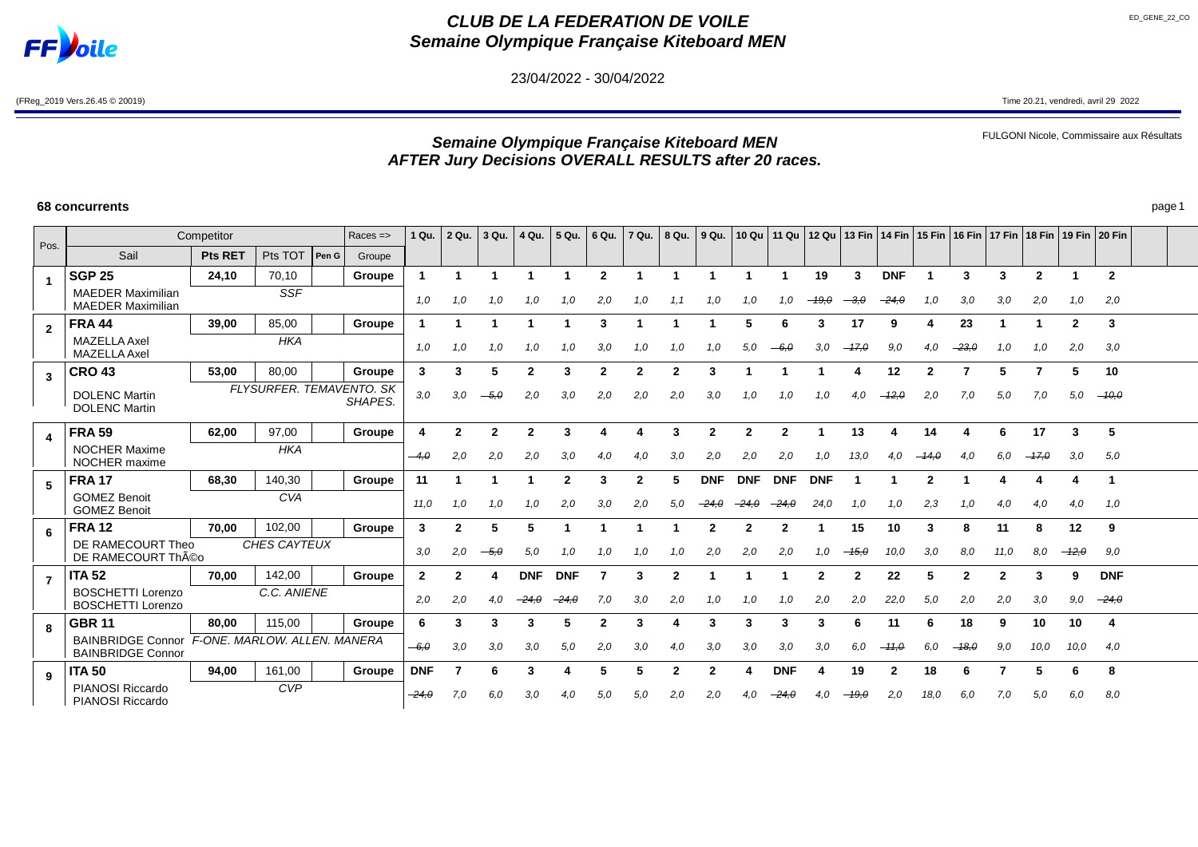

# **CLUB DE LA FEDERATION DE VOILE Semaine Olympique Française Kiteboard MEN**

23/04/2022 - 30/04/2022

(FReg\_2019 Vers.26.45 © 20019) Time 20.21, vendredi, avril 29 2022

FULGONI Nicole, Commissaire aux Résultats

# **Semaine Olympique Française Kiteboard MEN AFTER Jury Decisions OVERALL RESULTS after 20 races.**

|                         |                                                                            | Competitor     |             |       | $Races = >$                         | 1 Qu.          | 2 Qu. | 3 Qu.  | 4 Qu.        | 5 Qu.      | 6 Qu.                   | 7 Qu.        | $8$ Qu. $ $  | 9 Qu.      |                |              |                         |                |            |              | 10 Qu   11 Qu   12 Qu   13 Fin   14 Fin   15 Fin   16 Fin   17 Fin   18 Fin   19 Fin   20 Fin |         |                |                |                |  |
|-------------------------|----------------------------------------------------------------------------|----------------|-------------|-------|-------------------------------------|----------------|-------|--------|--------------|------------|-------------------------|--------------|--------------|------------|----------------|--------------|-------------------------|----------------|------------|--------------|-----------------------------------------------------------------------------------------------|---------|----------------|----------------|----------------|--|
| Pos.                    | Sail                                                                       | <b>Pts RET</b> | Pts TOT     | Pen G | Groupe                              |                |       |        |              |            |                         |              |              |            |                |              |                         |                |            |              |                                                                                               |         |                |                |                |  |
| $\overline{\mathbf{1}}$ | <b>SGP 25</b>                                                              | 24,10          | 70,10       |       | Groupe                              |                |       |        |              |            | $\overline{2}$          |              |              |            |                |              | 19                      | 3              | <b>DNF</b> |              | 3                                                                                             | 3       | $\overline{2}$ |                | $\overline{2}$ |  |
|                         | <b>MAEDER Maximilian</b><br><b>MAEDER Maximilian</b>                       |                | <b>SSF</b>  |       |                                     | 1.0            | 1,0   | 1.0    | 1.0          | 1.0        | 2,0                     |              |              | 1.0        | 1.0            |              |                         |                | -24.0      |              | 3,0                                                                                           | 3.0     | 2,0            | 1.0            | 2,0            |  |
| $\overline{2}$          | <b>FRA 44</b>                                                              | 39,00          | 85,00       |       | Groupe                              |                |       |        |              |            | 3                       |              |              |            | 5              |              | 3                       | 17             | a          |              | 23                                                                                            |         |                | $\overline{2}$ | 3              |  |
|                         | <b>MAZELLA Axel</b><br><b>MAZELLA Axel</b>                                 |                | <b>HKA</b>  |       |                                     | 1,0            | 1,0   | 1,0    | 1,0          | 1,0        | 3,0                     | 1,0          | 1,0          | 1.0        | 5,0            | $-6.0$       | 3,0                     | $-47,0$        | 9,0        | 4.0          | $-23, \theta$                                                                                 | 1,0     | 1.0            | 2,0            | 3,0            |  |
| $\mathbf{3}$            | <b>CRO 43</b>                                                              | 53,00          | 80,00       |       | Groupe                              | $\mathbf{3}$   | 3     | 5      | $\mathbf{2}$ | 3          | $\overline{\mathbf{2}}$ | $\mathbf{2}$ | $\mathbf{2}$ | 3          |                |              |                         | 4              | 12         | $\mathbf{2}$ | 7                                                                                             | 5       |                | 5              | 10             |  |
|                         | <b>DOLENC Martin</b><br><b>DOLENC Martin</b>                               |                |             |       | FLYSURFER, TEMAVENTO, SK<br>SHAPES. | 3,0            | 3,0   | $-5.0$ | 2,0          | 3,0        | 2,0                     | 2,0          | 2,0          | 3,0        | 1.0            | 1,0          | 1.0                     | 4.0            | $-12,0$    | 2,0          | 7,0                                                                                           | 5,0     | 7,0            | 5,0            | $-10,0$        |  |
| $\blacktriangle$        | <b>FRA 59</b>                                                              | 62,00          | 97,00       |       | Groupe                              |                | 2     | 2      | $\mathbf{2}$ | 3          |                         |              | 3            | 2          | $\mathbf{2}$   | $\mathbf{2}$ |                         | 13             |            | 14           |                                                                                               | 6       | 17             | 3              | 5              |  |
|                         | <b>NOCHER Maxime</b><br>NOCHER maxime                                      |                | <b>HKA</b>  |       | $-4.0$                              | 2,0            | 2.0   | 2,0    | 3,0          | 4.0        | 4.0                     | 3.0          | 2.0          | 2,0        | 2,0            | 1.0          | 13,0                    | 4.0            |            | 4.0          | 6.0                                                                                           | $-17,0$ | 3,0            | 5,0            |                |  |
| 5 <sup>5</sup>          | <b>FRA 17</b>                                                              | 68.30          | 140,30      |       | Groupe                              | 11             |       |        |              | 2          | 3                       | 2            |              | <b>DNF</b> | <b>DNF</b>     | <b>DNF</b>   | <b>DNF</b>              |                |            |              |                                                                                               |         |                |                | -1             |  |
|                         | <b>GOMEZ Benoit</b><br><b>GOMEZ Benoit</b>                                 |                | <b>CVA</b>  |       |                                     | 11,0           | 1,0   | 1.0    | 1.0          | 2,0        | 3.0                     | 2,0          | 5.0          | $-24.0$    | $-24.0$        | $-24,0$      | 24,0                    | 1.0            | 1.0        | 2,3          | 1.0                                                                                           | 4.0     | 4.0            | 4.0            | 1.0            |  |
| 6                       | <b>FRA12</b>                                                               | 70,00          | 102,00      |       | Groupe                              | 3              | 2     | 5      | 5            |            |                         |              |              | 2          | $\overline{2}$ | 2            |                         | 15             | 10         | 3            | 8                                                                                             | 11      | 8              | 12             | 9              |  |
|                         | DE RAMECOURT Theo<br>DE RAMECOURT Théo                                     | CHES CAYTEUX   |             |       |                                     |                | 2,0   | $-5.0$ | 5,0          | 1,0        | 1.0                     | 1.0          | 1.0          | 2.0        | 2,0            | 2,0          | 1.0                     | $-15,0$        | 10.0       | 3.0          | 8.0                                                                                           | 11.0    | 8.0            | $-12,0$        | 9,0            |  |
| $\overline{7}$          | <b>ITA 52</b>                                                              | 70.00          | 142,00      |       | Groupe                              | $\overline{2}$ | 2     |        | <b>DNF</b>   | <b>DNF</b> |                         | 3            | 2            |            |                |              | $\overline{\mathbf{2}}$ | $\overline{2}$ | 22         | 5            | $\mathbf{2}$                                                                                  | 2       | 3              | 9              | <b>DNF</b>     |  |
|                         | <b>BOSCHETTI Lorenzo</b><br><b>BOSCHETTI Lorenzo</b>                       |                | C.C. ANIENE |       |                                     | 2.0            | 2,0   | 4.0    | $-24.0$      | $-24,0$    | 7.0                     | 3,0          | 2,0          | 1.0        | 1,0            | 1.0          | 2,0                     | 2,0            | 22,0       | 5.0          | 2,0                                                                                           | 2,0     | 3,0            | 9,0            | $-24,0$        |  |
| 8                       | <b>GBR 11</b>                                                              | 80,00          | 115,00      |       | Groupe                              | 6              |       | 3      | 3            | 5          | 2                       | 3            |              | 3          | 3              | 3            | 3                       | 6              | 11         | 6            | 18                                                                                            | 9       | 10             | 10             | 4              |  |
|                         | BAINBRIDGE Connor F-ONE, MARLOW, ALLEN, MANERA<br><b>BAINBRIDGE Connor</b> |                |             |       | $-6.0$                              | 3,0            | 3.0   | 3,0    | 5,0          | 2.0        | 3,0                     | 4,0          | 3.0          | 3,0        | 3,0            | 3.0          | 6,0                     | $-11,0$        | 6.0        | $-18,0$      | 9.0                                                                                           | 10,0    | 10,0           | 4,0            |                |  |
| 9                       | <b>ITA 50</b>                                                              | 94,00          | 161,00      |       | Groupe                              | <b>DNF</b>     |       |        | 3            |            |                         |              |              |            |                | <b>DNF</b>   |                         | 19             |            | 18           |                                                                                               |         |                |                | 8              |  |
|                         | PIANOSI Riccardo<br><b>PIANOSI Riccardo</b>                                |                | <b>CVP</b>  |       |                                     | $-24,0$        | 7.0   | 6.0    | 3,0          | 4.0        | 5.0                     | 5.0          | 2,0          | 2,0        | 4.0            | $-24.0$      | 4,0                     | $-19.0$        | 2,0        | 18.0         | 6.0                                                                                           | 7,0     | 5,0            | 6,0            | 8,0            |  |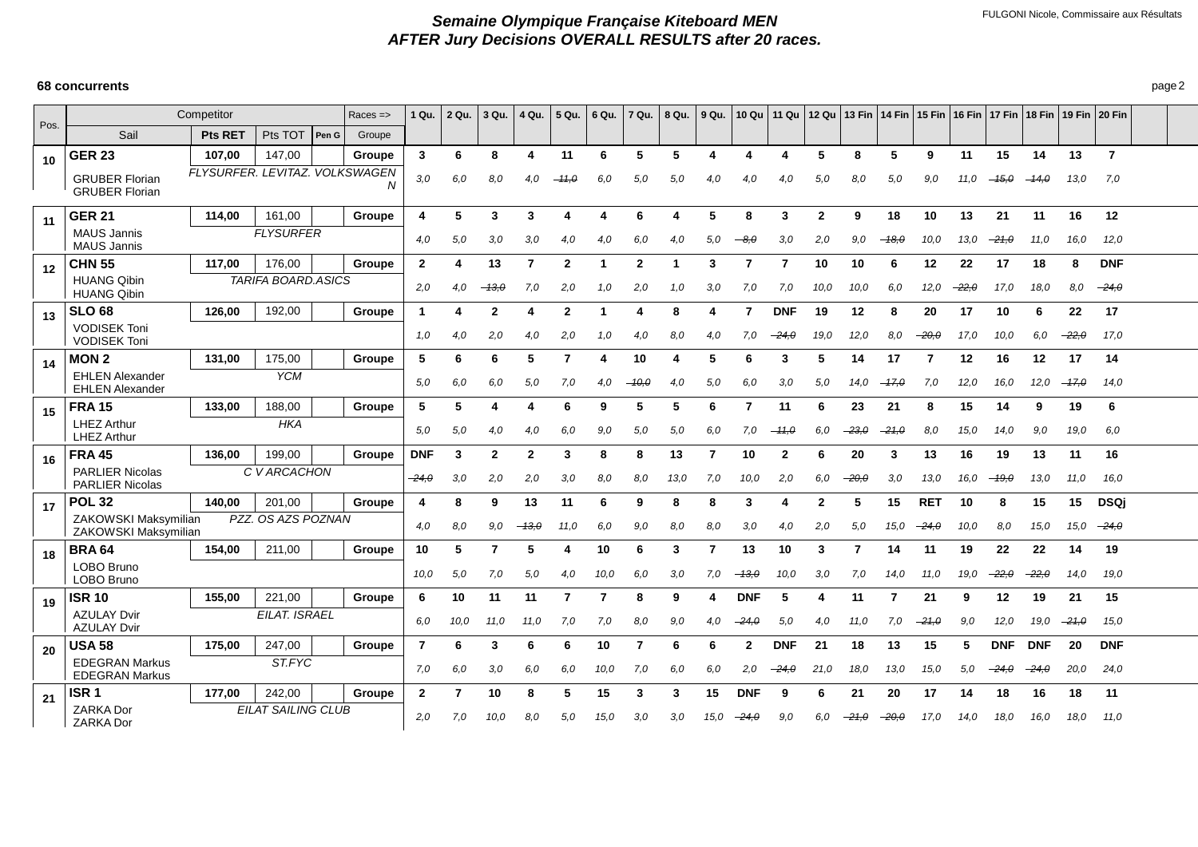| Pos. |                                                  | Competitor                     |                           |       | $Races = >$ | 1 Qu.          | 2 Qu. | 3 Qu.          | 4 Qu.        | 5 Qu.          | 6 Qu. | 7 Qu.        | 8 Qu.         |      |              |              |                |         |         | 9 Qu. │10 Qu │11 Qu │12 Qu │13 Fin │14 Fin │15 Fin │16 Fin │17 Fin │18 Fin │19 Fin │20 Fin |               |            |            |         |                |  |
|------|--------------------------------------------------|--------------------------------|---------------------------|-------|-------------|----------------|-------|----------------|--------------|----------------|-------|--------------|---------------|------|--------------|--------------|----------------|---------|---------|--------------------------------------------------------------------------------------------|---------------|------------|------------|---------|----------------|--|
|      | Sail                                             | <b>Pts RET</b>                 | Pts TOT                   | Pen G | Groupe      |                |       |                |              |                |       |              |               |      |              |              |                |         |         |                                                                                            |               |            |            |         |                |  |
| 10   | <b>GER 23</b>                                    | 107,00                         | 147,00                    |       | Groupe      | 3              | 6     | 8              | 4            | 11             | 6     | 5            | 5             |      | 4            |              | -5             | 8       | 5       | 9                                                                                          | 11            | 15         | 14         | 13      | $\overline{7}$ |  |
|      | <b>GRUBER Florian</b><br><b>GRUBER Florian</b>   | FLYSURFER, LEVITAZ, VOLKSWAGEN |                           |       | N           | 3,0            | 6.0   | 8,0            | 4,0          | $-11,0$        | 6.0   | 5,0          | 5,0           | 4.0  | 4,0          | 4,0          | 5,0            | 8.0     | 5,0     | 9.0                                                                                        | 11.0          | $-15,0$    | $-14.0$    | 13,0    | 7,0            |  |
| 11   | <b>GER 21</b>                                    | 114,00                         | 161,00                    |       | Groupe      | 4              | 5     | 3              | 3            | Δ              |       | 6            |               | 5    | 8            | 3            | $\overline{2}$ | 9       | 18      | 10                                                                                         | 13            | 21         | 11         | 16      | 12             |  |
|      | <b>MAUS Jannis</b><br><b>MAUS Jannis</b>         |                                | <b>FLYSURFER</b>          |       |             | 4,0            | 5,0   | 3,0            | 3,0          | 4.0            | 4,0   | 6,0          | 4.0           | 5,0  | $-8.0$       | 3,0          | 2,0            | 9,0     | $-18.0$ | 10,0                                                                                       | 13,0          | $-21,0$    | 11,0       | 16,0    | 12,0           |  |
| 12   | <b>CHN 55</b>                                    | 117,00                         | 176,00                    |       | Groupe      | $\overline{2}$ |       | 13             | 7            | $\overline{2}$ | -1    | $\mathbf{2}$ |               | 3    | 7            | 7            | 10             | 10      | 6       | 12                                                                                         | 22            | 17         | 18         | 8       | <b>DNF</b>     |  |
|      | <b>HUANG Qibin</b><br><b>HUANG Qibin</b>         |                                | <b>TARIFA BOARD.ASICS</b> |       |             | 2,0            | 4.0   | $-13,0$        | 7,0          | 2,0            | 1,0   | 2,0          | 1.0           | 3,0  | 7,0          | 7.0          | 10,0           | 10,0    | 6,0     | 12,0                                                                                       | $-22, \theta$ | 17.0       | 18,0       | 8,0     | $-24,0$        |  |
| 13   | <b>SLO 68</b>                                    | 126,00                         | 192,00                    |       | Groupe      | 1              |       | $\mathbf{2}$   | 4            | $\mathbf{2}$   | -1    | 4            | 8             |      | 7            | <b>DNF</b>   | 19             | 12      | 8       | 20                                                                                         | 17            | 10         | 6          | 22      | 17             |  |
|      | <b>VODISEK Toni</b><br><b>VODISEK Toni</b>       |                                |                           |       |             | 1,0            | 4,0   | 2,0            | 4,0          | 2,0            | 1,0   | 4,0          | 8,0           | 4,0  | 7,0          | -24,0        | 19,0           | 12,0    | 8,0     | $-20,0$                                                                                    | 17.0          | 10,0       | 6,0        | $-22,0$ | 17,0           |  |
| 14   | <b>MON2</b>                                      | 131,00                         | 175,00                    |       | Groupe      | 5              | 6     | 6              | 5            | 7              | 4     | 10           | Δ             | 5    | 6            | 3            | 5              | 14      | 17      | 7                                                                                          | 12            | 16         | 12         | 17      | 14             |  |
|      | <b>EHLEN Alexander</b><br><b>EHLEN Alexander</b> |                                | <b>YCM</b>                |       |             | 5.0            | 6.0   | 6,0            | 5,0          | 7.0            | 4.0   | $-10.0$      | 4.0           | 5,0  | 6,0          | 3.0          | 5.0            | 14.0    | $-17.0$ | 7.0                                                                                        | 12,0          | 16.0       | 12.0       | $-17,0$ | 14.0           |  |
| 15   | <b>FRA 15</b>                                    | 133,00                         | 188,00                    |       | Groupe      | 5              | 5     |                | 4            | 6              | 9     | 5            | 5             | 6    | 7            | 11           | 6              | 23      | 21      | 8                                                                                          | 15            | 14         | 9          | 19      | 6              |  |
|      | <b>LHEZ Arthur</b><br><b>LHEZ Arthur</b>         |                                | <b>HKA</b>                |       |             | 5,0            | 5,0   | 4.0            | 4.0          | 6.0            | 9.0   | 5,0          | 5.0           | 6.0  | 7.0          | $-11,0$      | 6.0            | $-23.0$ | $-21,0$ | 8.0                                                                                        | 15,0          | 14.0       | 9.0        | 19.0    | 6.0            |  |
| 16   | <b>FRA 45</b>                                    | 136.00                         | 199,00                    |       | Groupe      | <b>DNF</b>     | 3     | $\overline{2}$ | $\mathbf{2}$ | 3              | 8     | 8            | 13            | -7   | 10           | $\mathbf{2}$ | 6              | 20      | 3       | 13                                                                                         | 16            | 19         | 13         | 11      | 16             |  |
|      | <b>PARLIER Nicolas</b><br><b>PARLIER Nicolas</b> |                                | C V ARCACHON              |       |             | $-24, \theta$  | 3,0   | 2,0            | 2,0          | 3,0            | 8.0   | 8,0          | 13,0          | 7,0  | 10,0         | 2,0          | 6.0            | $-20,0$ | 3,0     | 13,0                                                                                       | 16.0          | $-19,0$    | 13,0       | 11,0    | 16.0           |  |
| 17   | <b>POL 32</b>                                    | 140.00                         | 201,00                    |       | Groupe      | 4              | 8     | 9              | 13           | 11             | 6     | 9            | 8             | 8    | 3            |              | $\overline{2}$ | 5       | 15      | <b>RET</b>                                                                                 | 10            | 8          | 15         | 15      | <b>DSQj</b>    |  |
|      | ZAKOWSKI Maksymilian<br>ZAKOWSKI Maksymilian     |                                | PZZ. OS AZS POZNAN        |       |             | 4.0            | 8,0   | 9,0            | $-43,0$      | 11,0           | 6,0   | 9,0          | 8,0           | 8,0  | 3,0          | 4.0          | 2,0            | 5,0     | 15,0    | $-24,0$                                                                                    | 10,0          | 8,0        | 15,0       | 15,0    | $-24,0$        |  |
| 18   | <b>BRA 64</b>                                    | 154,00                         | 211,00                    |       | Groupe      | 10             | 5     | 7              | 5            | 4              | 10    | 6            | 3             | 7    | 13           | 10           | 3              | 7       | 14      | 11                                                                                         | 19            | 22         | 22         | 14      | 19             |  |
|      | LOBO Bruno<br>LOBO Bruno                         |                                |                           |       |             | 10,0           | 5,0   | 7,0            | 5,0          | 4,0            | 10,0  | 6,0          | 3,0           | 7,0  | $-13,0$      | 10,0         | 3,0            | 7,0     | 14,0    | 11,0                                                                                       | 19,0          | $-22,0$    | $-22,0$    | 14,0    | 19,0           |  |
| 19   | <b>ISR 10</b>                                    | 155.00                         | 221,00                    |       | Groupe      | 6              | 10    | 11             | 11           | 7              | -7    | 8            | 9             |      | <b>DNF</b>   | 5            | 4              | 11      |         | 21                                                                                         | 9             | 12         | 19         | 21      | 15             |  |
|      | <b>AZULAY Dvir</b><br><b>AZULAY Dvir</b>         |                                |                           | 6.0   | 10,0        | 11.0           | 11.0  | 7.0            | 7.0          | 8,0            | 9.0   | 4.0          | $-24, \theta$ | 5.0  | 4.0          | 11.0         | 7.0            | $-21.0$ | 9,0     | 12.0                                                                                       | 19,0          | $-21,0$    | 15.0       |         |                |  |
| 20   | <b>USA 58</b>                                    | 175.00                         | 247,00                    |       | Groupe      | 7              | 6     | 3              | 6            | 6              | 10    | 7            | 6             | 6    | $\mathbf{2}$ | <b>DNF</b>   | 21             | 18      | 13      | 15                                                                                         | 5.            | <b>DNF</b> | <b>DNF</b> | 20      | <b>DNF</b>     |  |
|      | <b>EDEGRAN Markus</b><br><b>EDEGRAN Markus</b>   |                                | ST.FYC                    |       | 7.0         | 6,0            | 3,0   | 6,0            | 6.0          | 10,0           | 7.0   | 6.0          | 6,0           | 2,0  | $-24,0$      | 21,0         | 18,0           | 13,0    | 15,0    | 5.0                                                                                        | $-24.0$       | $-24.0$    | 20,0       | 24,0    |                |  |
| 21   | ISR <sub>1</sub>                                 | 177.00                         | 242,00                    |       | Groupe      | $\mathbf{2}$   |       | 10             | 8            | 5              | 15    | 3            | 3             | 15   | <b>DNF</b>   | 9            | 6              | 21      | 20      | 17                                                                                         | 14            | 18         | 16         | 18      | 11             |  |
|      | <b>ZARKA Dor</b><br><b>ZARKA Dor</b>             |                                | <b>EILAT SAILING CLUB</b> |       |             | 2.0            | 7.0   | 10,0           | 8,0          | 5,0            | 15,0  | 3,0          | 3.0           | 15.0 | $-24,0$      | 9.0          | 6.0            | $-21,0$ | $-20,0$ | 17.0                                                                                       | 14.0          | 18,0       | 16,0       | 18,0    | 11,0           |  |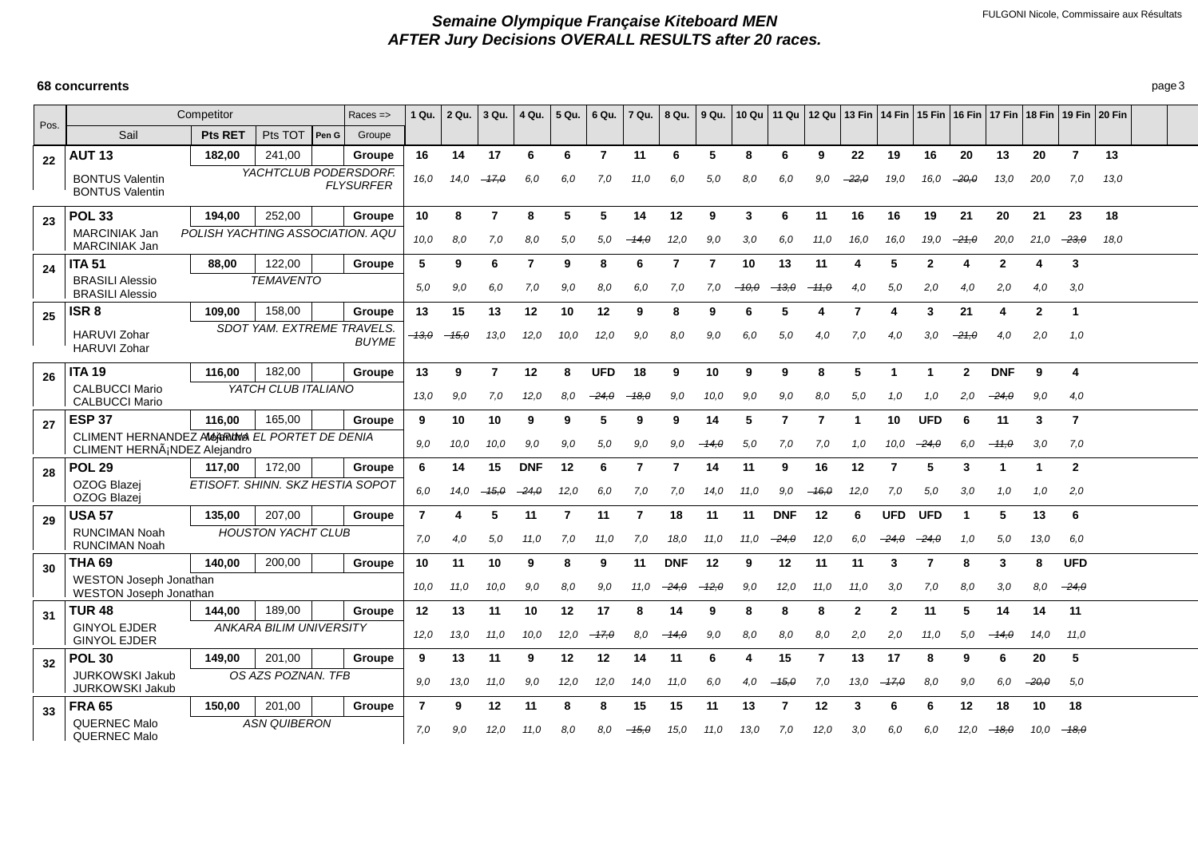|      |                                                                              | Competitor                       |                                |        | $Races = >$      | 1 Qu.          | 2 Qu.   | 3 Qu.   | 4 Qu.      | 5 Qu. | 6 Qu.          | 7 Qu.          | 8 Qu.      | 9 Qu.   |       |                |                |                |                |            |              | 10 Qu   11 Qu   12 Qu   13 Fin   14 Fin   15 Fin   16 Fin   17 Fin   18 Fin   19 Fin   20 Fin |                |                |      |  |
|------|------------------------------------------------------------------------------|----------------------------------|--------------------------------|--------|------------------|----------------|---------|---------|------------|-------|----------------|----------------|------------|---------|-------|----------------|----------------|----------------|----------------|------------|--------------|-----------------------------------------------------------------------------------------------|----------------|----------------|------|--|
| Pos. | Sail                                                                         | <b>Pts RET</b>                   | Pts TOT                        | Pen G  | Groupe           |                |         |         |            |       |                |                |            |         |       |                |                |                |                |            |              |                                                                                               |                |                |      |  |
| 22   | <b>AUT 13</b>                                                                | 182,00                           | 241,00                         |        | Groupe           | 16             | 14      | 17      | 6          | 6     | $\overline{7}$ | 11             | 6          | 5       | 8     | 6              | g              | 22             | 19             | 16         | 20           | 13                                                                                            | 20             | $\overline{7}$ | 13   |  |
|      | <b>BONTUS Valentin</b><br><b>BONTUS Valentin</b>                             |                                  | YACHTCLUB PODERSDORF.          |        | <b>FLYSURFER</b> | 16,0           | 14.0    | $-47,0$ | 6,0        | 6.0   | 7,0            | 11.0           | 6.0        | 5,0     | 8,0   | 6.0            | 9.0            | $-22,0$        | 19,0           | 16.0       | $-20,0$      | 13,0                                                                                          | 20,0           | 7,0            | 13.0 |  |
| 23   | <b>POL 33</b>                                                                | 194.00                           | 252.00                         |        | Groupe           | 10             | 8       | 7       | 8          | 5     | 5              | 14             | $12 \,$    | 9       | 3     | 6              | 11             | 16             | 16             | 19         | 21           | 20                                                                                            | 21             | 23             | 18   |  |
|      | MARCINIAK Jan<br>MARCINIAK Jan                                               | POLISH YACHTING ASSOCIATION. AQU |                                |        |                  | 10,0           | 8,0     | 7,0     | 8,0        | 5,0   | 5,0            | $-14.0$        | 12,0       | 9,0     | 3,0   | 6.0            | 11,0           | 16,0           | 16,0           | 19,0       | $-21,0$      | 20,0                                                                                          | 21,0           | $-23,0$        | 18,0 |  |
| 24   | <b>ITA 51</b>                                                                | 88,00                            | 122,00                         |        | Groupe           | 5              | 9       | 6       | 7          | 9     | 8              | 6              | 7          | 7       | 10    | 13             | 11             | 4              | 5              | 2          | 4            | $\mathbf{2}$                                                                                  | 4              | 3              |      |  |
|      | <b>BRASILI Alessio</b><br><b>BRASILI Alessio</b>                             |                                  | <b>TEMAVENTO</b>               |        |                  | 5,0            | 9,0     | 6,0     | 7,0        | 9,0   | 8,0            | 6,0            | 7.0        | 7,0     | -10.0 | $-13.0$        | $-11,0$        | 4,0            | 5,0            | 2,0        | 4,0          | 2,0                                                                                           | 4,0            | 3,0            |      |  |
| 25   | ISR <sub>8</sub>                                                             | 109.00                           | 158.00                         |        | Groupe           | 13             | 15      | 13      | 12         | 10    | 12             | 9              | 8          | 9       | 6     | 5              | 4              | 7              | Δ              | 3          | 21           | 4                                                                                             | $\overline{2}$ | 1              |      |  |
|      | <b>HARUVI Zohar</b><br><b>HARUVI Zohar</b>                                   |                                  | SDOT YAM. EXTREME TRAVELS.     |        | <b>BUYME</b>     | -13.0          | $-15,0$ | 13,0    | 12,0       | 10.0  | 12,0           | 9,0            | 8.0        | 9,0     | 6.0   | 5.0            | 4,0            | 7.0            | 4.0            | 3.0        | $-21.0$      | 4.0                                                                                           | 2,0            | 1.0            |      |  |
| 26   | <b>ITA 19</b>                                                                | 116.00                           | 182,00                         |        | Groupe           | 13             | 9       | 7       | 12         | 8     | <b>UFD</b>     | 18             | 9          | 10      | 9     | 9              | 8              | 5              |                |            | $\mathbf{2}$ | <b>DNF</b>                                                                                    | 9              | 4              |      |  |
|      | <b>CALBUCCI Mario</b><br><b>CALBUCCI Mario</b>                               |                                  | YATCH CLUB ITALIANO            |        |                  | 13,0           | 9,0     | 7,0     | 12,0       | 8.0   | $-24,0$        | $-18,0$        | 9,0        | 10,0    | 9,0   | 9.0            | 8,0            | 5,0            | 1.0            | 1.0        | 2,0          | $-24,0$                                                                                       | 9,0            | 4,0            |      |  |
| 27   | <b>ESP 37</b>                                                                | 116.00                           | 165.00                         |        | Groupe           | 9              | 10      | 10      | 9          | 9     | 5              | 9              | 9          | 14      | 5     | $\overline{7}$ | $\overline{7}$ | 1              | 10             | <b>UFD</b> | 6            | 11                                                                                            | 3              | $\overline{7}$ |      |  |
|      | CLIMENT HERNANDEZ ANGARING EL PORTET DE DENIA<br>CLIMENT HERN¡NDEZ Alejandro |                                  |                                |        |                  | 9.0            | 10,0    | 10,0    | 9,0        | 9.0   | 5,0            | 9,0            | 9.0        | –14.0   | 5,0   | 7.0            | 7,0            | 1.0            | 10,0           | $-24.0$    | 6,0          | $-11.0$                                                                                       | 3,0            | 7.0            |      |  |
| 28   | <b>POL 29</b>                                                                | 117.00                           | 172.00                         |        | Groupe           | 6              | 14      | 15      | <b>DNF</b> | 12    | 6              | $\overline{7}$ | 7          | 14      | 11    | 9              | 16             | 12             | $\overline{7}$ | 5          | 3            | -1                                                                                            | -1             | $\mathbf{2}$   |      |  |
|      | OZOG Blazej<br>OZOG Blazei                                                   | ETISOFT. SHINN. SKZ HESTIA SOPOT |                                |        |                  | 6,0            | 14.0    | $-45,0$ | $-24.0$    | 12,0  | 6,0            | 7,0            | 7.0        | 14,0    | 11,0  | 9.0            | $-16,0$        | 12,0           | 7,0            | 5.0        | 3,0          | 1.0                                                                                           | 1,0            | 2,0            |      |  |
| 29   | <b>USA 57</b>                                                                | 135,00                           | 207,00                         |        | Groupe           | $\overline{7}$ |         | 5       | 11         | 7     | 11             | 7              | 18         | 11      | 11    | <b>DNF</b>     | 12             | 6              | <b>UFD</b>     | <b>UFD</b> | 1            | 5                                                                                             | 13             | 6              |      |  |
|      | <b>RUNCIMAN Noah</b><br><b>RUNCIMAN Noah</b>                                 |                                  | <b>HOUSTON YACHT CLUB</b>      |        |                  | 7.0            | 4,0     | 5.0     | 11.0       | 7.0   | 11.0           | 7,0            | 18.0       | 11.0    | 11.0  | $-24.0$        | 12,0           | 6.0            | $-24.0$        | $-24,0$    | 1,0          | 5.0                                                                                           | 13.0           | 6,0            |      |  |
| 30   | <b>THA 69</b>                                                                | 140.00                           | 200,00                         |        | Groupe           | 10             | 11      | 10      | 9          | 8     | 9              | 11             | <b>DNF</b> | 12      | 9     | 12             | 11             | 11             | 3              | 7          | 8            | 3                                                                                             | 8              | <b>UFD</b>     |      |  |
|      | <b>WESTON Joseph Jonathan</b><br><b>WESTON Joseph Jonathan</b>               |                                  |                                |        | 10,0             | 11,0           | 10,0    | 9,0     | 8.0        | 9,0   | 11,0           | $-24.0$        | $-12,0$    | 9,0     | 12,0  | 11.0           | 11,0           | 3,0            | 7.0            | 8,0        | 3,0          | 8.0                                                                                           | $-24.0$        |                |      |  |
| 31   | <b>TUR 48</b>                                                                | 144.00                           |                                | Groupe | 12               | 13             | 11      | 10      | 12         | 17    | 8              | 14             | 9          | 8       | 8     | Я              | $\mathbf{2}$   | $\overline{2}$ | 11             | 5          | 14           | 14                                                                                            | 11             |                |      |  |
|      | <b>GINYOL EJDER</b><br><b>GINYOL EJDER</b>                                   |                                  | <b>ANKARA BILIM UNIVERSITY</b> |        |                  | 12,0           | 13,0    | 11.0    | 10,0       | 12,0  | $-17,0$        | 8,0            | -- 14.0    | 9,0     | 8,0   | 8.0            | 8,0            | 2,0            | 2,0            | 11.0       | 5,0          | $-14,0$                                                                                       | 14,0           | 11,0           |      |  |
| 32   | <b>POL 30</b>                                                                | 149.00                           | 201,00                         |        | Groupe           | 9              | 13      | 11      | 9          | 12    | 12             | 14             | 11         | 6       | 4     | 15             | 7              | 13             | 17             | -8         | 9            | 6                                                                                             | 20             | 5              |      |  |
|      | <b>JURKOWSKI Jakub</b><br><b>JURKOWSKI Jakub</b>                             | OS AZS POZNAN. TFB               |                                | 9.0    | 13,0             | 11.0           | 9,0     | 12,0    | 12,0       | 14.0  | 11.0           | 6,0            | 4,0        | $-45.0$ | 7,0   | 13,0           | $-47,0$        | 8,0            | 9,0            | 6.0        | $-20.0$      | 5,0                                                                                           |                |                |      |  |
| 33   | <b>FRA 65</b>                                                                | 150.00                           | 201,00                         |        | Groupe           | $\overline{7}$ | 9       | 12      | 11         | 8     | 8              | 15             | 15         | 11      | 13    | 7              | 12             | 3              | 6              | 6          | 12           | 18                                                                                            | 10             | 18             |      |  |
|      | <b>QUERNEC Malo</b><br><b>QUERNEC Malo</b>                                   |                                  | <b>ASN QUIBERON</b>            |        |                  | 7.0            | 9,0     | 12,0    | 11,0       | 8.0   | 8.0            | $-45,0$        | 15,0       | 11.0    | 13,0  | 7.0            | 12,0           | 3,0            | 6,0            | 6.0        | 12.0         | $-18,0$                                                                                       | 10.0           | $-18.0$        |      |  |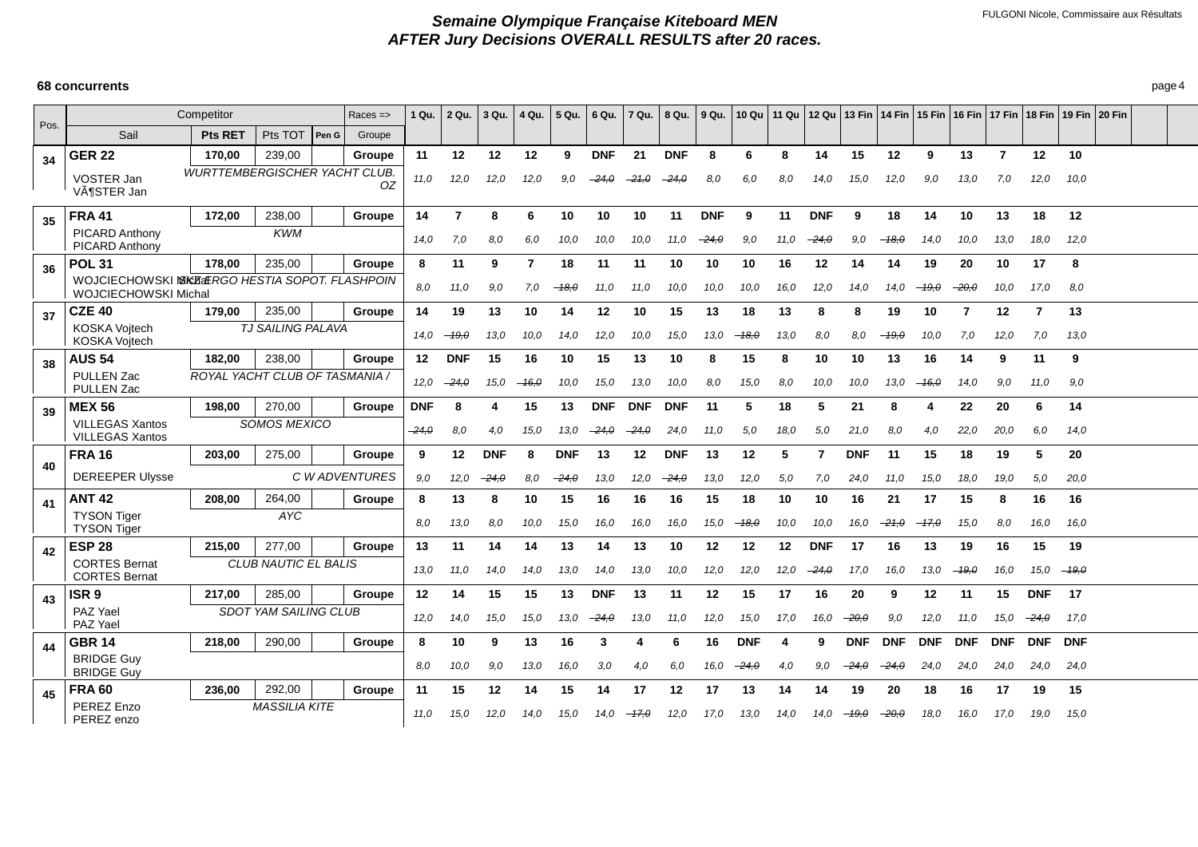|      |                                                                          | Competitor                           |                              |       | $Races = >$    | 1 Qu.      | 2 Qu.      | 3 Qu.      | 4 Qu.   | 5 Qu.      | 6 Qu.      | 7 Qu.      | 8 Qu.      | 9 Qu.         |            |      |            |            |            |            |                       |                |                | 10 Qu   11 Qu   12 Qu   13 Fin   14 Fin   15 Fin   16 Fin   17 Fin   18 Fin   19 Fin   20 Fin |  |
|------|--------------------------------------------------------------------------|--------------------------------------|------------------------------|-------|----------------|------------|------------|------------|---------|------------|------------|------------|------------|---------------|------------|------|------------|------------|------------|------------|-----------------------|----------------|----------------|-----------------------------------------------------------------------------------------------|--|
| Pos. | Sail                                                                     | <b>Pts RET</b>                       | Pts TOT                      | Pen G | Groupe         |            |            |            |         |            |            |            |            |               |            |      |            |            |            |            |                       |                |                |                                                                                               |  |
| 34   | <b>GER 22</b>                                                            | 170.00                               | 239.00                       |       | Groupe         | 11         | 12         | 12         | 12      | -9         | <b>DNF</b> | 21         | <b>DNF</b> | 8             | 6          | 8    | 14         | 15         | 12         | 9          | 13                    | $\overline{7}$ | 12             | 10                                                                                            |  |
|      | VOSTER Jan<br>VöSTER Jan                                                 | <b>WURTTEMBERGISCHER YACHT CLUB.</b> |                              |       | OZ             | 11,0       | 12,0       | 12.0       | 12,0    | 9.0        | $-24.0$    | $-21.0$    | $-24.0$    | 8,0           | 6.0        | 8,0  | 14,0       | 15,0       | 12,0       | 9,0        | 13.0                  | 7.0            | 12,0           | 10,0                                                                                          |  |
| 35   | <b>FRA 41</b>                                                            | 172,00                               | 238,00                       |       | Groupe         | 14         | 7          | 8          | 6       | 10         | 10         | 10         | 11         | <b>DNF</b>    | 9          | 11   | <b>DNF</b> | 9          | 18         | 14         | 10                    | 13             | 18             | 12                                                                                            |  |
|      | PICARD Anthony<br>PICARD Anthony                                         |                                      | <b>KWM</b>                   |       |                | 14,0       | 7.0        | 8.0        | 6.0     | 10,0       | 10,0       | 10,0       | 11,0       | $-24, \theta$ | 9,0        | 11.0 | $-24,0$    | 9,0        | $-18,0$    | 14,0       | 10,0                  | 13,0           | 18,0           | 12,0                                                                                          |  |
| 36   | <b>POL 31</b>                                                            | 178,00                               | 235,00                       |       | Groupe         | 8          | 11         | 9          | 7       | 18         | 11         | 11         | 10         | 10            | 10         | 16   | 12         | 14         | 14         | 19         | 20                    | 10             | 17             | 8                                                                                             |  |
|      | WOJCIECHOWSKI NSKAZAERGO HESTIA SOPOT. FLASHPOIN<br>WOJCIECHOWSKI Michal |                                      |                              |       |                | 8,0        | 11,0       | 9,0        | 7.0     | $-18,0$    | 11.0       | 11.0       | 10,0       | 10,0          | 10,0       | 16,0 | 12,0       | 14,0       | 14.0       | $-19,0$    | $\scriptstyle{-20.0}$ | 10,0           | 17.0           | 8,0                                                                                           |  |
| 37   | <b>CZE 40</b>                                                            | 179,00                               | 235,00                       |       | Groupe         | 14         | 19         | 13         | 10      | 14         | 12         | 10         | 15         | 13            | 18         | 13   | 8          | 8          | 19         | 10         | 7                     | 12             | $\overline{7}$ | 13                                                                                            |  |
|      | <b>KOSKA Voitech</b><br><b>KOSKA Voitech</b>                             |                                      | TJ SAILING PALAVA            |       |                | 14.0       | $-19,0$    | 13.0       | 10,0    | 14,0       | 12,0       | 10,0       | 15.0       | 13,0          | $-48.0$    | 13,0 | 8,0        | 8.0        | $-19,0$    | 10,0       | 7,0                   | 12,0           | 7,0            | 13,0                                                                                          |  |
| 38   | <b>AUS 54</b>                                                            | 182,00                               | 238,00                       |       | Groupe         | 12         | <b>DNF</b> | 15         | 16      | 10         | 15         | 13         | 10         | 8             | 15         | 8    | 10         | 10         | 13         | 16         | 14                    | 9              | 11             | 9                                                                                             |  |
|      | <b>PULLEN Zac</b><br><b>PULLEN Zac</b>                                   | ROYAL YACHT CLUB OF TASMANIA /       |                              |       |                | 12,0       | $-24,0$    | 15.0       | $-16,0$ | 10,0       | 15,0       | 13,0       | 10.0       | 8,0           | 15,0       | 8,0  | 10,0       | 10,0       | 13,0       | $-16,0$    | 14,0                  | 9,0            | 11,0           | 9,0                                                                                           |  |
| 39   | <b>MEX 56</b>                                                            | 198,00                               | 270,00                       |       | Groupe         | <b>DNF</b> | 8          | 4          | 15      | 13         | <b>DNF</b> | <b>DNF</b> | <b>DNF</b> | 11            | 5          | 18   | 5          | 21         | 8          | 4          | 22                    | 20             | 6              | 14                                                                                            |  |
|      | <b>VILLEGAS Xantos</b><br><b>VILLEGAS Xantos</b>                         |                                      | <b>SOMOS MEXICO</b>          |       |                | $-24.0$    | 8,0        | 4,0        | 15,0    | 13,0       | $-24.0$    | $-24.0$    | 24,0       | 11.0          | 5,0        | 18.0 | 5,0        | 21,0       | 8.0        | 4,0        | 22,0                  | 20,0           | 6,0            | 14,0                                                                                          |  |
|      | <b>FRA 16</b>                                                            | 203,00                               | 275,00                       |       | Groupe         | 9          | 12         | <b>DNF</b> | 8       | <b>DNF</b> | 13         | 12         | <b>DNF</b> | 13            | 12         | 5    | 7          | <b>DNF</b> | 11         | 15         | 18                    | 19             | 5              | 20                                                                                            |  |
| 40   | <b>DEREEPER Ulysse</b>                                                   |                                      |                              |       | C W ADVENTURES | 9.0        | 12,0       | $-24,0$    | 8,0     | $-24,0$    | 13,0       | 12,0       | $-24.0$    | 13,0          | 12,0       | 5.0  | 7,0        | 24,0       | 11,0       | 15,0       | 18,0                  | 19,0           | 5,0            | 20,0                                                                                          |  |
| 41   | <b>ANT 42</b>                                                            | 208,00                               | 264,00                       |       | Groupe         | 8          | 13         | 8          | 10      | 15         | 16         | 16         | 16         | 15            | 18         | 10   | 10         | 16         | 21         | 17         | 15                    | 8              | 16             | 16                                                                                            |  |
|      | <b>TYSON Tiger</b><br><b>TYSON Tiger</b>                                 |                                      | AYC                          |       |                | 8,0        | 13,0       | 8,0        | 10,0    | 15,0       | 16.0       | 16.0       | 16.0       | 15,0          | $-18.0$    | 10,0 | 10,0       | 16,0       | $-21,0$    | $-17,0$    | 15,0                  | 8,0            | 16,0           | 16,0                                                                                          |  |
| 42   | <b>ESP 28</b>                                                            | 215.00                               | 277,00                       |       | Groupe         | 13         | 11         | 14         | 14      | 13         | 14         | 13         | 10         | 12            | 12         | 12   | <b>DNF</b> | 17         | 16         | 13         | 19                    | 16             | 15             | 19                                                                                            |  |
|      | <b>CORTES Bernat</b><br><b>CORTES Bernat</b>                             |                                      | <b>CLUB NAUTIC EL BALIS</b>  |       |                | 13,0       | 11,0       | 14,0       | 14,0    | 13,0       | 14.0       | 13,0       | 10.0       | 12,0          | 12,0       | 12,0 | $-24,0$    | 17,0       | 16,0       | 13,0       | $-19,0$               | 16.0           | 15.0           | $-19.0$                                                                                       |  |
| 43   | ISR <sub>9</sub>                                                         | 217.00                               | 285,00                       |       | Groupe         | 12         | 14         | 15         | 15      | 13         | <b>DNF</b> | 13         | 11         | 12            | 15         | 17   | 16         | 20         | 9          | 12         | 11                    | 15             | <b>DNF</b>     | 17                                                                                            |  |
|      | PAZ Yael<br>PAZ Yael                                                     |                                      | <b>SDOT YAM SAILING CLUB</b> |       |                | 12,0       | 14,0       | 15,0       | 15,0    | 13,0       | $-24.0$    | 13,0       | 11.0       | 12,0          | 15,0       | 17.0 | 16,0       | $-20,0$    | 9,0        | 12,0       | 11.0                  | 15.0           | $-24.0$        | 17.0                                                                                          |  |
| 44   | <b>GBR 14</b>                                                            | 218,00                               | 290,00                       |       | Groupe         | 8          | 10         | 9          | 13      | 16         | 3          |            | 6          | 16            | <b>DNF</b> | 4    | 9          | <b>DNF</b> | <b>DNF</b> | <b>DNF</b> | <b>DNF</b>            | <b>DNF</b>     | <b>DNF</b>     | <b>DNF</b>                                                                                    |  |
|      | <b>BRIDGE Guy</b><br><b>BRIDGE Guy</b>                                   |                                      |                              |       |                | 8.0        | 10,0       | 9,0        | 13,0    | 16,0       | 3,0        | 4.0        | 6.0        | 16.0          | $-24.0$    | 4.0  | 9,0        | $-24.0$    | -24.0      | 24,0       | 24.0                  | 24,0           | 24,0           | 24,0                                                                                          |  |
| 45   | <b>FRA 60</b>                                                            | 236.00                               | 292,00                       |       | Groupe         | 11         | 15         | 12         | 14      | 15         | 14         | 17         | 12         | 17            | 13         | 14   | 14         | 19         | 20         | 18         | 16                    | 17             | 19             | 15                                                                                            |  |
|      | PEREZ Enzo<br>PEREZ enzo                                                 |                                      | <b>MASSILIA KITE</b>         |       |                | 11,0       | 15,0       | 12,0       | 14,0    | 15,0       | 14.0       | $-17,0$    | 12,0       | 17.0          | 13,0       | 14.0 | 14.0       | $-19,0$    | $-20,0$    | 18,0       | 16,0                  | 17,0           | 19.0           | 15,0                                                                                          |  |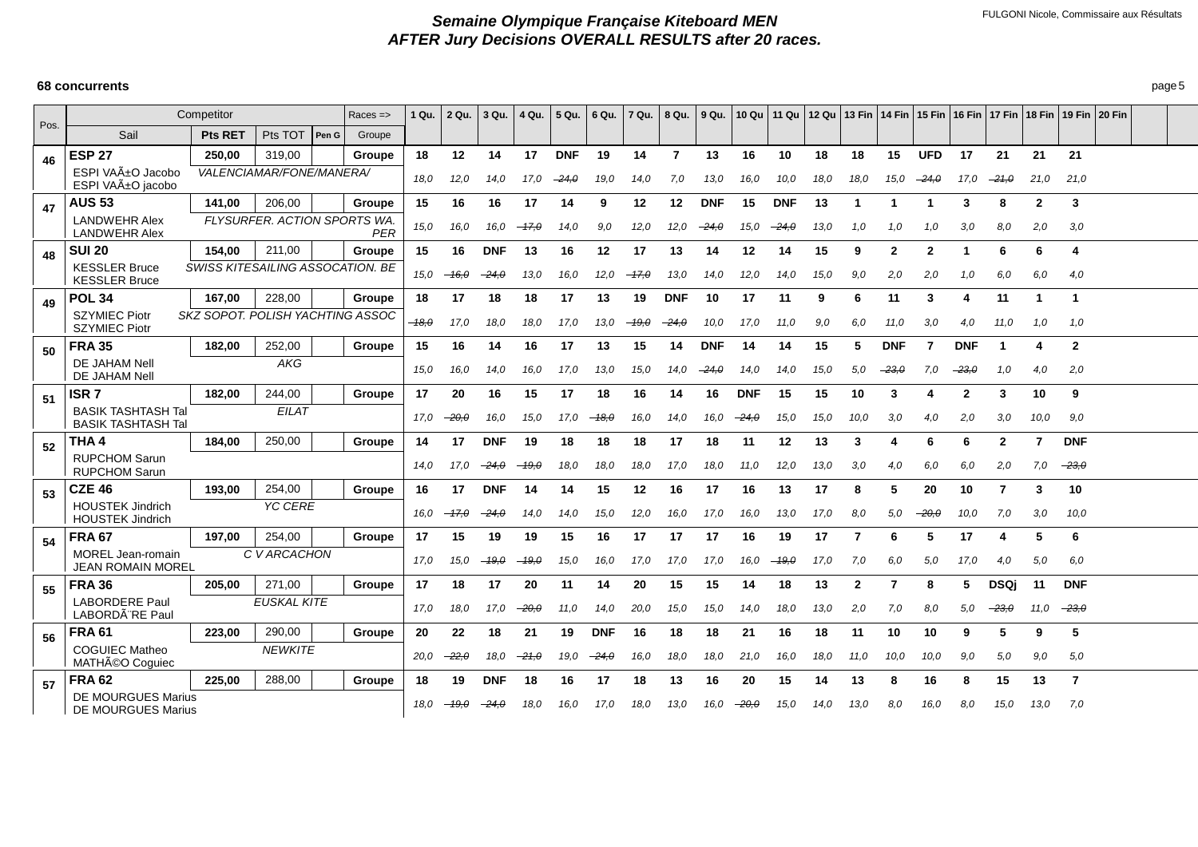|      |                                                        | Competitor     |                                  | $Races = >$ | 1 Qu.   | 2 Qu.    | 3 Qu.      | 4 Qu.   | 5 Qu.      | 6 Qu.      | 7 Qu.   | 8 Qu.          | 9 Qu.      |            |            |      |              |               |            |                |              |              |                         | 10 Qu   11 Qu   12 Qu   13 Fin   14 Fin   15 Fin   16 Fin   17 Fin   18 Fin   19 Fin   20 Fin |  |
|------|--------------------------------------------------------|----------------|----------------------------------|-------------|---------|----------|------------|---------|------------|------------|---------|----------------|------------|------------|------------|------|--------------|---------------|------------|----------------|--------------|--------------|-------------------------|-----------------------------------------------------------------------------------------------|--|
| Pos. | Sail                                                   | <b>Pts RET</b> | Pts TOT<br>Pen G                 | Groupe      |         |          |            |         |            |            |         |                |            |            |            |      |              |               |            |                |              |              |                         |                                                                                               |  |
| 46   | <b>ESP 27</b>                                          | 250.00         | 319.00                           | Groupe      | 18      | 12       | 14         | 17      | <b>DNF</b> | 19         | 14      | $\overline{7}$ | 13         | 16         | 10         | 18   | 18           | 15            | <b>UFD</b> | 17             | 21           | 21           | 21                      |                                                                                               |  |
|      | ESPI VAñO Jacobo<br>ESPI VAñO jacobo                   |                | VALENCIAMAR/FONE/MANERA/         |             | 18,0    | 12,0     | 14.0       | 17.0    | $-24.0$    | 19.0       | 14,0    | 7,0            | 13,0       | 16,0       | 10,0       | 18,0 | 18,0         | 15,0          | $-24.0$    | 17,0           | $-21,0$      | 21,0         | 21,0                    |                                                                                               |  |
| 47   | <b>AUS 53</b>                                          | 141.00         | 206,00                           | Groupe      | 15      | 16       | 16         | 17      | 14         | 9          | 12      | 12             | <b>DNF</b> | 15         | <b>DNF</b> | 13   | 1            |               |            | 3              | 8            | $\mathbf{2}$ | 3                       |                                                                                               |  |
|      | <b>LANDWEHR Alex</b><br><b>LANDWEHR Alex</b>           |                | FLYSURFER, ACTION SPORTS WA.     | PER         | 15,0    | 16.0     | 16.0       | $-17,0$ | 14.0       | 9,0        | 12.0    | 12.0           | $-24.0$    | 15,0       | $-24.0$    | 13,0 | 1.0          | 1.0           | 1,0        | 3,0            | 8,0          | 2.0          | 3,0                     |                                                                                               |  |
| 48   | <b>SUI 20</b>                                          | 154,00         | 211,00                           | Groupe      | 15      | 16       | <b>DNF</b> | 13      | 16         | 12         | 17      | 13             | 14         | 12         | 14         | 15   | 9            | 2             | 2          | 1              | 6            | 6            | 4                       |                                                                                               |  |
|      | <b>KESSLER Bruce</b><br><b>KESSLER Bruce</b>           |                | SWISS KITESAILING ASSOCATION. BE |             | 15.0    | $-46.0$  | $-24,0$    | 13,0    | 16.0       | 12.0       | $-17.0$ | 13,0           | 14.0       | 12,0       | 14,0       | 15,0 | 9.0          | 2,0           | 2,0        | 1,0            | 6,0          | 6,0          | 4,0                     |                                                                                               |  |
| 49   | <b>POL 34</b>                                          | 167,00         | 228,00                           | Groupe      | 18      | 17       | 18         | 18      | 17         | 13         | 19      | <b>DNF</b>     | 10         | 17         | 11         | 9    | 6            | 11            | 3          | 4              | 11           | -1           | $\overline{\mathbf{1}}$ |                                                                                               |  |
|      | <b>SZYMIEC Piotr</b><br><b>SZYMIEC Piotr</b>           |                | SKZ SOPOT, POLISH YACHTING ASSOC |             | $-18.0$ | 17,0     | 18,0       | 18,0    | 17.0       | 13.0       | $-19,0$ | –24.0          | 10,0       | 17.0       | 11.0       | 9,0  | 6.0          | 11.0          | 3,0        | 4.0            | 11.0         | 1,0          | 1.0                     |                                                                                               |  |
| 50   | <b>FRA 35</b>                                          | 182.00         | 252,00                           | Groupe      | 15      | 16       | 14         | 16      | 17         | 13         | 15      | 14             | <b>DNF</b> | 14         | 14         | 15   | 5            | <b>DNF</b>    | 7          | <b>DNF</b>     |              | 4            | $\overline{2}$          |                                                                                               |  |
|      | DE JAHAM Nell<br>DE JAHAM Nell                         |                | AKG                              |             | 15,0    | 16,0     | 14,0       | 16,0    | 17,0       | 13,0       | 15,0    | 14,0           | $-24,0$    | 14,0       | 14,0       | 15,0 | 5,0          | $-23, \theta$ | 7,0        | $-23,0$        | 1,0          | 4,0          | 2,0                     |                                                                                               |  |
| 51   | ISR <sub>7</sub>                                       | 182.00         | 244,00                           | Groupe      | 17      | 20       | 16         | 15      | 17         | 18         | 16      | 14             | 16         | <b>DNF</b> | 15         | 15   | 10           | 3             |            | $\overline{2}$ | 3            | 10           | 9                       |                                                                                               |  |
|      | <b>BASIK TASHTASH Tal</b><br><b>BASIK TASHTASH Tal</b> |                | <b>EILAT</b>                     |             | 17.0    | -20.0    | 16.0       | 15,0    | 17.0       | $-18,0$    | 16,0    | 14,0           | 16,0       | $-24.0$    | 15,0       | 15,0 | 10,0         | 3,0           | 4,0        | 2,0            | 3,0          | 10,0         | 9.0                     |                                                                                               |  |
| 52   | THA 4                                                  | 184,00         | 250,00                           | Groupe      | 14      | 17       | <b>DNF</b> | 19      | 18         | 18         | 18      | 17             | 18         | 11         | 12         | 13   | 3            | Δ             | 6          | 6              | $\mathbf{2}$ | 7            | <b>DNF</b>              |                                                                                               |  |
|      | <b>RUPCHOM Sarun</b><br><b>RUPCHOM Sarun</b>           |                |                                  |             | 14,0    | 17.0     | $-24,0$    | $-49,0$ | 18,0       | 18,0       | 18,0    | 17,0           | 18,0       | 11,0       | 12,0       | 13,0 | 3,0          | 4,0           | 6,0        | 6,0            | 2.0          | 7,0          | $-23,0$                 |                                                                                               |  |
| 53   | <b>CZE 46</b>                                          | 193.00         | 254,00                           | Groupe      | 16      | 17       | <b>DNF</b> | 14      | 14         | 15         | 12      | 16             | 17         | 16         | 13         | 17   | 8            | 5             | 20         | 10             | 7            | 3            | 10                      |                                                                                               |  |
|      | <b>HOUSTEK Jindrich</b><br><b>HOUSTEK Jindrich</b>     |                | YC CERE                          |             | 16.0    | $-47.0$  | $-24.0$    | 14,0    | 14.0       | 15,0       | 12,0    | 16.0           | 17.0       | 16,0       | 13,0       | 17,0 | 8,0          | 5,0           | -20.0      | 10,0           | 7,0          | 3,0          | 10,0                    |                                                                                               |  |
| 54   | <b>FRA 67</b>                                          | 197.00         | 254,00                           | Groupe      | 17      | 15       | 19         | 19      | 15         | 16         | 17      | 17             | 17         | 16         | 19         | 17   | -7           | 6             | 5          | 17             | 4            | 5            | 6                       |                                                                                               |  |
|      | MOREL Jean-romain<br><b>JEAN ROMAIN MOREL</b>          |                | C V ARCACHON                     |             | 17.0    | 15.0     | $-49.0$    | –19,0   | 15,0       | 16,0       | 17,0    | 17,0           | 17,0       | 16,0       | $-49,0$    | 17,0 | 7,0          | 6,0           | 5,0        | 17,0           | 4,0          | 5,0          | 6,0                     |                                                                                               |  |
| 55   | <b>FRA 36</b>                                          | 205.00         | 271,00                           | Groupe      | 17      | 18       | 17         | 20      | 11         | 14         | 20      | 15             | 15         | 14         | 18         | 13   | $\mathbf{2}$ | 7             | 8          | 5              | <b>DSQi</b>  | 11           | <b>DNF</b>              |                                                                                               |  |
|      | <b>LABORDERE Paul</b><br>LABORDÃ RE Paul               |                | <b>EUSKAL KITE</b>               |             | 17.0    | 18.0     | 17.0       | -20.0   | 11.0       | 14.0       | 20,0    | 15.0           | 15,0       | 14.0       | 18.0       | 13,0 | 2.0          | 7,0           | 8,0        | 5,0            | -23.0        | 11,0         | $-23.0$                 |                                                                                               |  |
| 56   | <b>FRA 61</b>                                          | 223,00         | 290,00                           | Groupe      | 20      | 22       | 18         | 21      | 19         | <b>DNF</b> | 16      | 18             | 18         | 21         | 16         | 18   | 11           | 10            | 10         | 9              | 5            | 9            | 5                       |                                                                                               |  |
|      | <b>COGUIEC Matheo</b><br>MATHéO Coquiec                |                | <b>NEWKITE</b>                   |             | 20,0    | $-22, 0$ | 18,0       | $-21,0$ | 19,0       | $-24,0$    | 16,0    | 18,0           | 18,0       | 21,0       | 16,0       | 18,0 | 11.0         | 10,0          | 10,0       | 9,0            | 5,0          | 9,0          | 5,0                     |                                                                                               |  |
| 57   | <b>FRA 62</b>                                          | 225,00         | 288,00                           | Groupe      | 18      | 19       | <b>DNF</b> | 18      | 16         | 17         | 18      | 13             | 16         | 20         | 15         | 14   | 13           | 8             | 16         | 8              | 15           | 13           | $\overline{7}$          |                                                                                               |  |
|      | <b>DE MOURGUES Marius</b><br>DE MOURGUES Marius        |                |                                  |             | 18.0    | $-19.0$  | $-24.0$    | 18,0    | 16.0       | 17.0       | 18.0    | 13,0           | 16.0       | $-20.0$    | 15.0       | 14,0 | 13,0         | 8.0           | 16,0       | 8.0            | 15,0         | 13,0         | 7.0                     |                                                                                               |  |